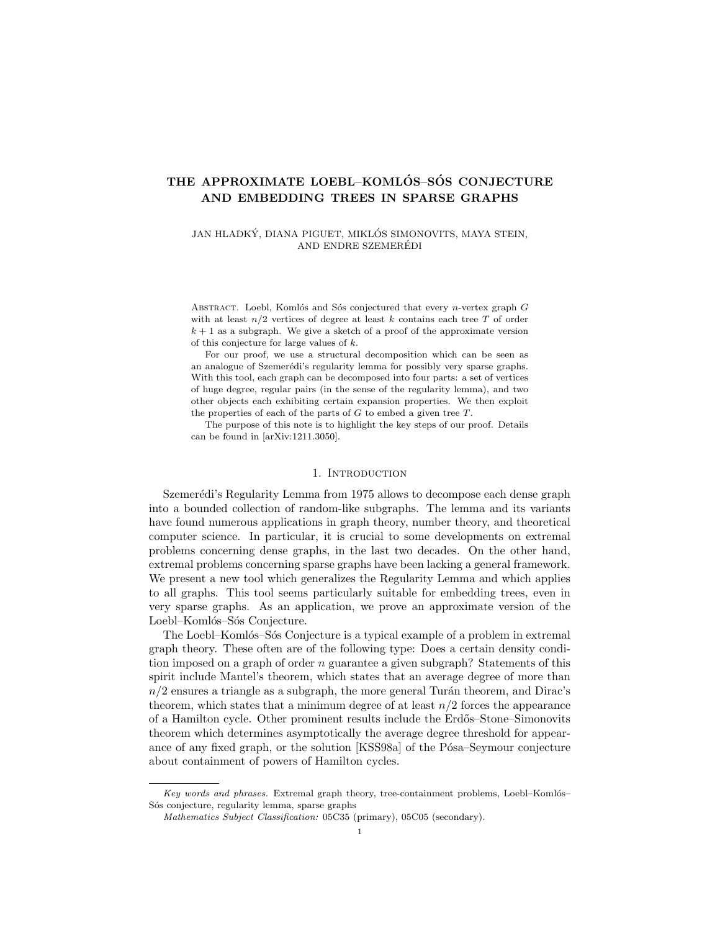# THE APPROXIMATE LOEBL-KOMLÓS-SÓS CONJECTURE AND EMBEDDING TREES IN SPARSE GRAPHS

JAN HLADKÝ, DIANA PIGUET, MIKLÓS SIMONOVITS, MAYA STEIN, AND ENDRE SZEMEREDI ´

ABSTRACT. Loebl, Komlós and Sós conjectured that every *n*-vertex graph  $G$ with at least  $n/2$  vertices of degree at least k contains each tree T of order  $k + 1$  as a subgraph. We give a sketch of a proof of the approximate version of this conjecture for large values of k.

For our proof, we use a structural decomposition which can be seen as an analogue of Szemerédi's regularity lemma for possibly very sparse graphs. With this tool, each graph can be decomposed into four parts: a set of vertices of huge degree, regular pairs (in the sense of the regularity lemma), and two other objects each exhibiting certain expansion properties. We then exploit the properties of each of the parts of  $G$  to embed a given tree  $T$ .

The purpose of this note is to highlight the key steps of our proof. Details can be found in [arXiv:1211.3050].

# 1. INTRODUCTION

Szemerédi's Regularity Lemma from 1975 allows to decompose each dense graph into a bounded collection of random-like subgraphs. The lemma and its variants have found numerous applications in graph theory, number theory, and theoretical computer science. In particular, it is crucial to some developments on extremal problems concerning dense graphs, in the last two decades. On the other hand, extremal problems concerning sparse graphs have been lacking a general framework. We present a new tool which generalizes the Regularity Lemma and which applies to all graphs. This tool seems particularly suitable for embedding trees, even in very sparse graphs. As an application, we prove an approximate version of the Loebl-Komlós-Sós Conjecture.

The Loebl–Komlós–Sós Conjecture is a typical example of a problem in extremal graph theory. These often are of the following type: Does a certain density condition imposed on a graph of order  $n$  guarantee a given subgraph? Statements of this spirit include Mantel's theorem, which states that an average degree of more than  $n/2$  ensures a triangle as a subgraph, the more general Turán theorem, and Dirac's theorem, which states that a minimum degree of at least  $n/2$  forces the appearance of a Hamilton cycle. Other prominent results include the Erd˝os–Stone–Simonovits theorem which determines asymptotically the average degree threshold for appearance of any fixed graph, or the solution [KSS98a] of the Pósa–Seymour conjecture about containment of powers of Hamilton cycles.

Key words and phrases. Extremal graph theory, tree-containment problems, Loebl-Komlós-Sós conjecture, regularity lemma, sparse graphs

Mathematics Subject Classification: 05C35 (primary), 05C05 (secondary).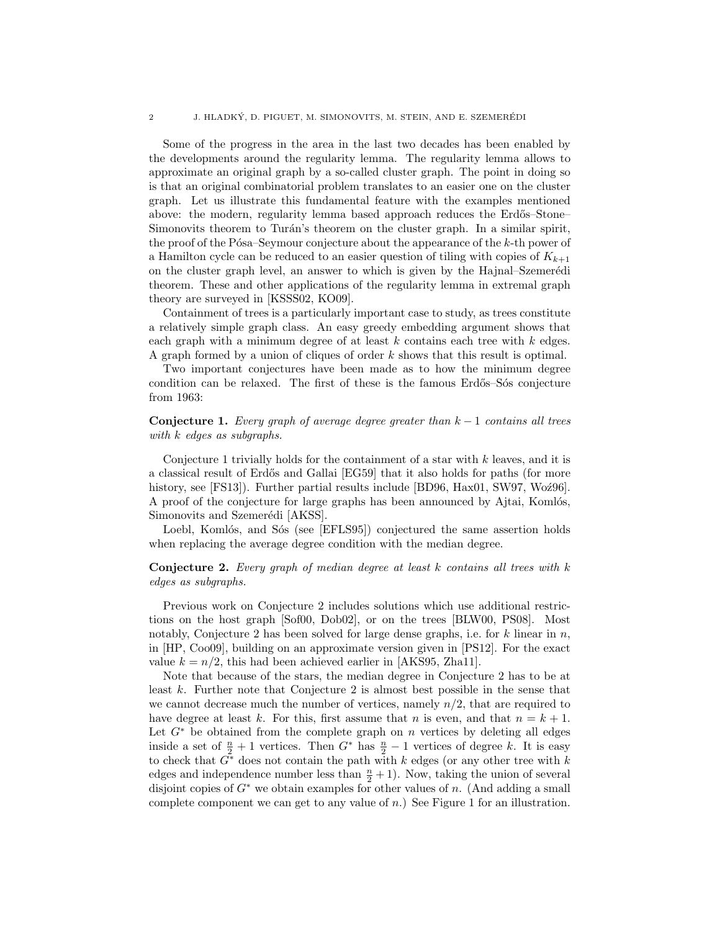Some of the progress in the area in the last two decades has been enabled by the developments around the regularity lemma. The regularity lemma allows to approximate an original graph by a so-called cluster graph. The point in doing so is that an original combinatorial problem translates to an easier one on the cluster graph. Let us illustrate this fundamental feature with the examples mentioned above: the modern, regularity lemma based approach reduces the Erdős–Stone– Simonovits theorem to Turán's theorem on the cluster graph. In a similar spirit, the proof of the P $\acute{o}$ sa–Seymour conjecture about the appearance of the k-th power of a Hamilton cycle can be reduced to an easier question of tiling with copies of  $K_{k+1}$ on the cluster graph level, an answer to which is given by the Hajnal–Szemerédi theorem. These and other applications of the regularity lemma in extremal graph theory are surveyed in [KSSS02, KO09].

Containment of trees is a particularly important case to study, as trees constitute a relatively simple graph class. An easy greedy embedding argument shows that each graph with a minimum degree of at least  $k$  contains each tree with  $k$  edges. A graph formed by a union of cliques of order k shows that this result is optimal.

Two important conjectures have been made as to how the minimum degree condition can be relaxed. The first of these is the famous Erdős–Sós conjecture from 1963:

Conjecture 1. Every graph of average degree greater than  $k-1$  contains all trees with k edges as subgraphs.

Conjecture 1 trivially holds for the containment of a star with  $k$  leaves, and it is a classical result of Erdős and Gallai [EG59] that it also holds for paths (for more history, see [FS13]). Further partial results include [BD96,  $\text{Hax01}$ , SW97, Wo $\angle$ 296]. A proof of the conjecture for large graphs has been announced by Ajtai, Komlós, Simonovits and Szemerédi [AKSS].

Loebl, Komlós, and Sós (see [EFLS95]) conjectured the same assertion holds when replacing the average degree condition with the median degree.

# **Conjecture 2.** Every graph of median degree at least  $k$  contains all trees with  $k$ edges as subgraphs.

Previous work on Conjecture 2 includes solutions which use additional restrictions on the host graph [Sof00, Dob02], or on the trees [BLW00, PS08]. Most notably, Conjecture 2 has been solved for large dense graphs, i.e. for k linear in  $n$ , in [HP, Coo09], building on an approximate version given in [PS12]. For the exact value  $k = n/2$ , this had been achieved earlier in [AKS95, Zha11].

Note that because of the stars, the median degree in Conjecture 2 has to be at least k. Further note that Conjecture 2 is almost best possible in the sense that we cannot decrease much the number of vertices, namely  $n/2$ , that are required to have degree at least k. For this, first assume that n is even, and that  $n = k + 1$ . Let  $G^*$  be obtained from the complete graph on n vertices by deleting all edges inside a set of  $\frac{n}{2} + 1$  vertices. Then  $G^*$  has  $\frac{n}{2} - 1$  vertices of degree k. It is easy to check that  $G^*$  does not contain the path with k edges (or any other tree with k edges and independence number less than  $\frac{n}{2} + 1$ ). Now, taking the union of several disjoint copies of  $G^*$  we obtain examples for other values of n. (And adding a small complete component we can get to any value of  $n$ .) See Figure 1 for an illustration.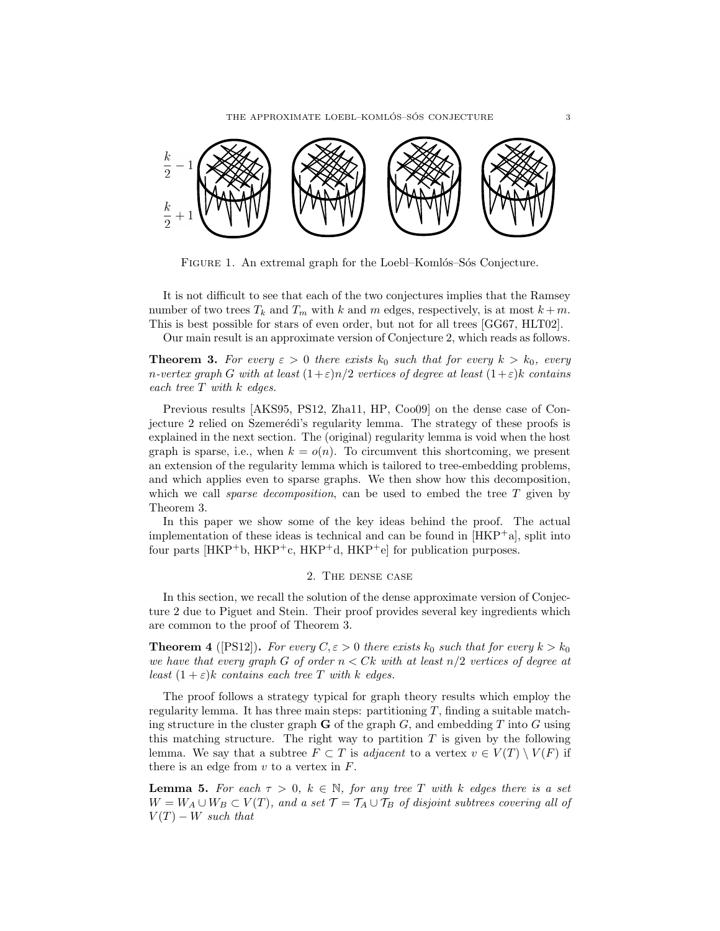THE APPROXIMATE LOEBL–KOMLÓS–SÓS CONJECTURE 3



FIGURE 1. An extremal graph for the Loebl–Komlós–Sós Conjecture.

It is not difficult to see that each of the two conjectures implies that the Ramsey number of two trees  $T_k$  and  $T_m$  with k and m edges, respectively, is at most  $k+m$ . This is best possible for stars of even order, but not for all trees [GG67, HLT02].

Our main result is an approximate version of Conjecture 2, which reads as follows.

**Theorem 3.** For every  $\varepsilon > 0$  there exists  $k_0$  such that for every  $k > k_0$ , every n-vertex graph G with at least  $(1+\varepsilon)n/2$  vertices of degree at least  $(1+\varepsilon)k$  contains each tree  $T$  with  $k$  edges.

Previous results [AKS95, PS12, Zha11, HP, Coo09] on the dense case of Conjecture 2 relied on Szemerédi's regularity lemma. The strategy of these proofs is explained in the next section. The (original) regularity lemma is void when the host graph is sparse, i.e., when  $k = o(n)$ . To circumvent this shortcoming, we present an extension of the regularity lemma which is tailored to tree-embedding problems, and which applies even to sparse graphs. We then show how this decomposition, which we call *sparse decomposition*, can be used to embed the tree  $T$  given by Theorem 3.

In this paper we show some of the key ideas behind the proof. The actual implementation of these ideas is technical and can be found in  $[HKP^+a]$ , split into four parts  $[HKP<sup>+</sup>b, HKP<sup>+</sup>c, HKP<sup>+</sup>d, HKP<sup>+</sup>e]$  for publication purposes.

### 2. The dense case

In this section, we recall the solution of the dense approximate version of Conjecture 2 due to Piguet and Stein. Their proof provides several key ingredients which are common to the proof of Theorem 3.

**Theorem 4** ([PS12]). For every  $C, \varepsilon > 0$  there exists  $k_0$  such that for every  $k > k_0$ we have that every graph G of order  $n \leq Ck$  with at least  $n/2$  vertices of degree at least  $(1 + \varepsilon)k$  contains each tree T with k edges.

The proof follows a strategy typical for graph theory results which employ the regularity lemma. It has three main steps: partitioning  $T$ , finding a suitable matching structure in the cluster graph  $\bf{G}$  of the graph  $G$ , and embedding  $T$  into  $G$  using this matching structure. The right way to partition  $T$  is given by the following lemma. We say that a subtree  $F \subset T$  is *adjacent* to a vertex  $v \in V(T) \setminus V(F)$  if there is an edge from  $v$  to a vertex in  $F$ .

**Lemma 5.** For each  $\tau > 0$ ,  $k \in \mathbb{N}$ , for any tree T with k edges there is a set  $W = W_A \cup W_B \subset V(T)$ , and a set  $\mathcal{T} = \mathcal{T}_A \cup \mathcal{T}_B$  of disjoint subtrees covering all of  $V(T) - W$  such that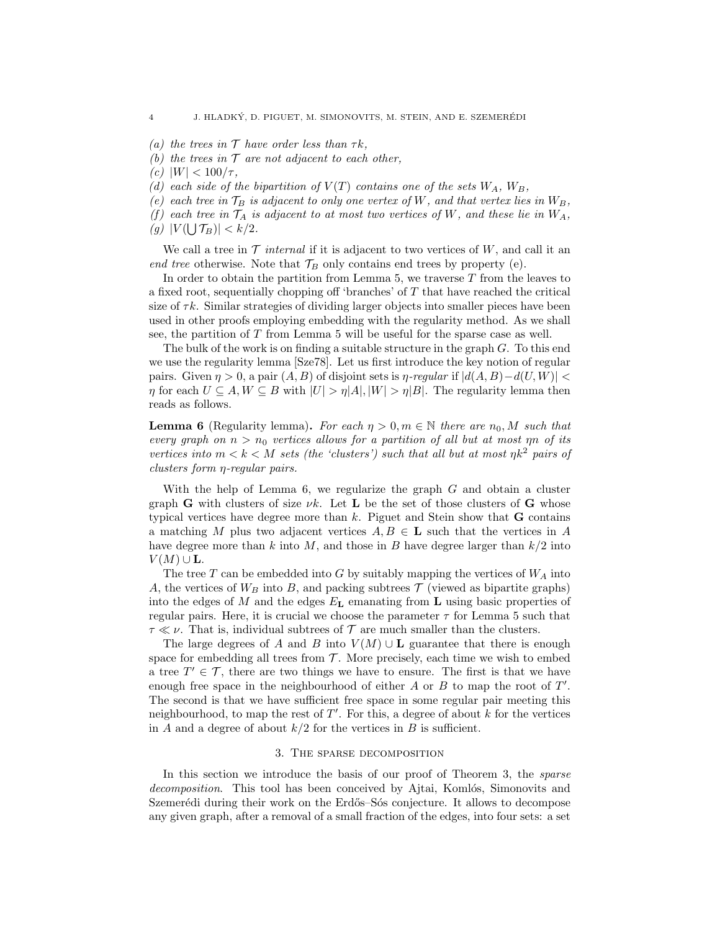- (a) the trees in  $\mathcal T$  have order less than  $\tau k$ ,
- (b) the trees in  $\mathcal T$  are not adjacent to each other,
- (c)  $|W| < 100/\tau$ ,
- (d) each side of the bipartition of  $V(T)$  contains one of the sets  $W_A$ ,  $W_B$ ,
- (e) each tree in  $\mathcal{T}_B$  is adjacent to only one vertex of W, and that vertex lies in  $W_B$ ,
- (f) each tree in  $\mathcal{T}_A$  is adjacent to at most two vertices of W, and these lie in  $W_A$ ,
- (g)  $|V(\bigcup \mathcal{T}_B)| < k/2$ .

We call a tree in  $\mathcal T$  internal if it is adjacent to two vertices of  $W$ , and call it an end tree otherwise. Note that  $\mathcal{T}_B$  only contains end trees by property (e).

In order to obtain the partition from Lemma  $5$ , we traverse  $T$  from the leaves to a fixed root, sequentially chopping off 'branches' of T that have reached the critical size of  $\tau k$ . Similar strategies of dividing larger objects into smaller pieces have been used in other proofs employing embedding with the regularity method. As we shall see, the partition of T from Lemma 5 will be useful for the sparse case as well.

The bulk of the work is on finding a suitable structure in the graph  $G$ . To this end we use the regularity lemma [Sze78]. Let us first introduce the key notion of regular pairs. Given  $\eta > 0$ , a pair  $(A, B)$  of disjoint sets is  $\eta$ -regular if  $|d(A, B)-d(U, W)| <$  $\eta$  for each  $U \subseteq A, W \subseteq B$  with  $|U| > \eta |A|, |W| > \eta |B|$ . The regularity lemma then reads as follows.

**Lemma 6** (Regularity lemma). For each  $\eta > 0, m \in \mathbb{N}$  there are  $n_0, M$  such that every graph on  $n > n_0$  vertices allows for a partition of all but at most  $\eta n$  of its vertices into  $m < k < M$  sets (the 'clusters') such that all but at most  $\eta k^2$  pairs of clusters form η-regular pairs.

With the help of Lemma  $6$ , we regularize the graph  $G$  and obtain a cluster graph G with clusters of size  $\nu k$ . Let L be the set of those clusters of G whose typical vertices have degree more than  $k$ . Piguet and Stein show that  **contains** a matching M plus two adjacent vertices  $A, B \in L$  such that the vertices in A have degree more than k into M, and those in B have degree larger than  $k/2$  into  $V(M) \cup L$ .

The tree  $T$  can be embedded into  $G$  by suitably mapping the vertices of  $W_A$  into A, the vertices of  $W_B$  into B, and packing subtrees  $\mathcal T$  (viewed as bipartite graphs) into the edges of M and the edges  $E_{\text{L}}$  emanating from L using basic properties of regular pairs. Here, it is crucial we choose the parameter  $\tau$  for Lemma 5 such that  $\tau \ll \nu$ . That is, individual subtrees of  $\mathcal T$  are much smaller than the clusters.

The large degrees of A and B into  $V(M) \cup L$  guarantee that there is enough space for embedding all trees from  $T$ . More precisely, each time we wish to embed a tree  $T' \in \mathcal{T}$ , there are two things we have to ensure. The first is that we have enough free space in the neighbourhood of either  $A$  or  $B$  to map the root of  $T'$ . The second is that we have sufficient free space in some regular pair meeting this neighbourhood, to map the rest of  $T'$ . For this, a degree of about k for the vertices in A and a degree of about  $k/2$  for the vertices in B is sufficient.

### 3. The sparse decomposition

In this section we introduce the basis of our proof of Theorem 3, the *sparse* decomposition. This tool has been conceived by Ajtai, Komlós, Simonovits and Szemerédi during their work on the Erdős–Sós conjecture. It allows to decompose any given graph, after a removal of a small fraction of the edges, into four sets: a set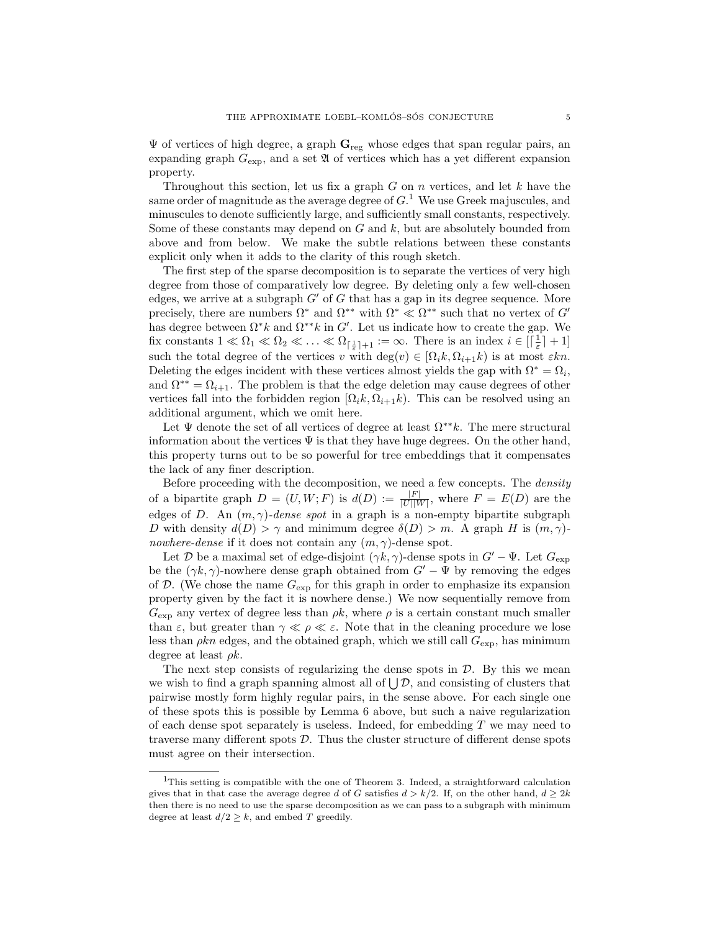$\Psi$  of vertices of high degree, a graph  $\mathbf{G}_{\text{reg}}$  whose edges that span regular pairs, an expanding graph  $G_{\text{exp}}$ , and a set  $\mathfrak A$  of vertices which has a yet different expansion property.

Throughout this section, let us fix a graph  $G$  on  $n$  vertices, and let  $k$  have the same order of magnitude as the average degree of  $G<sup>1</sup>$  We use Greek majuscules, and minuscules to denote sufficiently large, and sufficiently small constants, respectively. Some of these constants may depend on  $G$  and  $k$ , but are absolutely bounded from above and from below. We make the subtle relations between these constants explicit only when it adds to the clarity of this rough sketch.

The first step of the sparse decomposition is to separate the vertices of very high degree from those of comparatively low degree. By deleting only a few well-chosen edges, we arrive at a subgraph  $G'$  of G that has a gap in its degree sequence. More precisely, there are numbers  $\Omega^*$  and  $\Omega^{**}$  with  $\Omega^* \ll \Omega^{**}$  such that no vertex of  $G'$ has degree between  $\Omega^* k$  and  $\Omega^{**} k$  in G'. Let us indicate how to create the gap. We fix constants  $1 \ll \Omega_1 \ll \Omega_2 \ll \ldots \ll \Omega_{\lceil \frac{1}{\varepsilon} \rceil+1} := \infty$ . There is an index  $i \in \lceil \frac{1}{\varepsilon} \rceil + 1$ such the total degree of the vertices v with  $\deg(v) \in [\Omega_i k, \Omega_{i+1} k)$  is at most  $\varepsilon k n$ . Deleting the edges incident with these vertices almost yields the gap with  $\Omega^* = \Omega_i$ , and  $\Omega^{**} = \Omega_{i+1}$ . The problem is that the edge deletion may cause degrees of other vertices fall into the forbidden region  $[\Omega_k, \Omega_{i+1}k]$ . This can be resolved using an additional argument, which we omit here.

Let  $\Psi$  denote the set of all vertices of degree at least  $\Omega^{**}k$ . The mere structural information about the vertices  $\Psi$  is that they have huge degrees. On the other hand, this property turns out to be so powerful for tree embeddings that it compensates the lack of any finer description.

Before proceeding with the decomposition, we need a few concepts. The *density* of a bipartite graph  $D = (U, W; F)$  is  $d(D) := \frac{|F|}{|U||W|}$ , where  $F = E(D)$  are the edges of D. An  $(m, \gamma)$ -dense spot in a graph is a non-empty bipartite subgraph D with density  $d(D) > \gamma$  and minimum degree  $\delta(D) > m$ . A graph H is  $(m, \gamma)$ nowhere-dense if it does not contain any  $(m, \gamma)$ -dense spot.

Let D be a maximal set of edge-disjoint  $(\gamma k, \gamma)$ -dense spots in  $G' - \Psi$ . Let  $G_{\text{exp}}$ be the  $(\gamma k, \gamma)$ -nowhere dense graph obtained from  $G' - \Psi$  by removing the edges of  $D$ . (We chose the name  $G_{\text{exp}}$  for this graph in order to emphasize its expansion property given by the fact it is nowhere dense.) We now sequentially remove from  $G_{\text{exp}}$  any vertex of degree less than  $\rho k$ , where  $\rho$  is a certain constant much smaller than  $\varepsilon$ , but greater than  $\gamma \ll \rho \ll \varepsilon$ . Note that in the cleaning procedure we lose less than  $\rho k n$  edges, and the obtained graph, which we still call  $G_{\text{exp}}$ , has minimum degree at least  $\rho k$ .

The next step consists of regularizing the dense spots in  $D$ . By this we mean we wish to find a graph spanning almost all of  $\bigcup \mathcal{D}$ , and consisting of clusters that pairwise mostly form highly regular pairs, in the sense above. For each single one of these spots this is possible by Lemma 6 above, but such a naive regularization of each dense spot separately is useless. Indeed, for embedding  $T$  we may need to traverse many different spots  $\mathcal{D}$ . Thus the cluster structure of different dense spots must agree on their intersection.

<sup>&</sup>lt;sup>1</sup>This setting is compatible with the one of Theorem 3. Indeed, a straightforward calculation gives that in that case the average degree d of G satisfies  $d > k/2$ . If, on the other hand,  $d \geq 2k$ then there is no need to use the sparse decomposition as we can pass to a subgraph with minimum degree at least  $d/2 \geq k$ , and embed T greedily.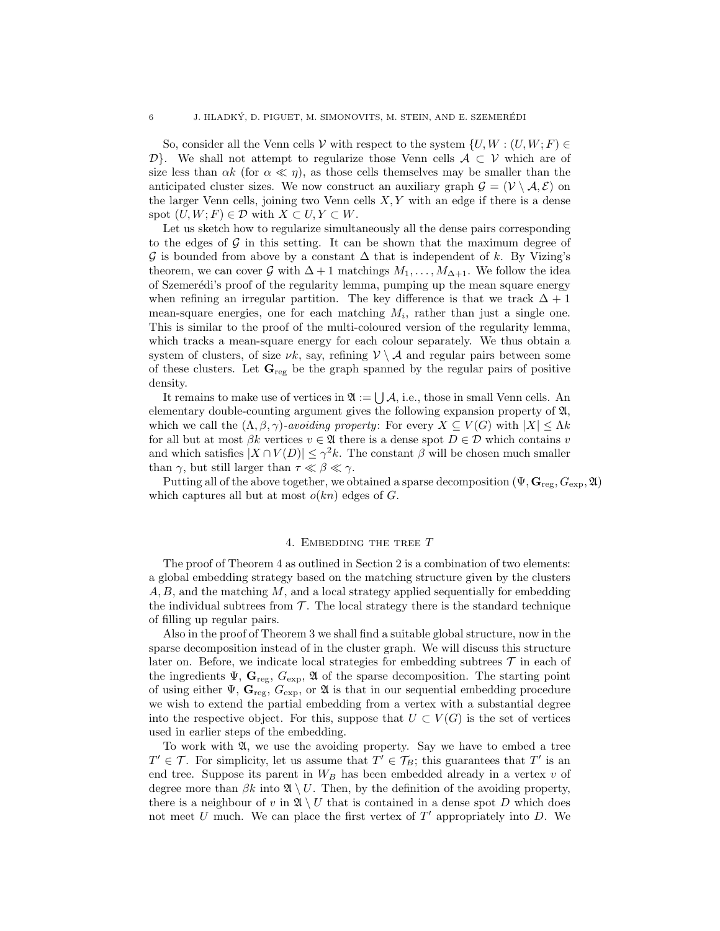So, consider all the Venn cells V with respect to the system  $\{U, W : (U, W; F) \in$  $\mathcal{D}$ . We shall not attempt to regularize those Venn cells  $\mathcal{A} \subset \mathcal{V}$  which are of size less than  $\alpha k$  (for  $\alpha \ll \eta$ ), as those cells themselves may be smaller than the anticipated cluster sizes. We now construct an auxiliary graph  $\mathcal{G} = (\mathcal{V} \setminus \mathcal{A}, \mathcal{E})$  on the larger Venn cells, joining two Venn cells  $X, Y$  with an edge if there is a dense spot  $(U, W; F) \in \mathcal{D}$  with  $X \subset U, Y \subset W$ .

Let us sketch how to regularize simultaneously all the dense pairs corresponding to the edges of  $\mathcal G$  in this setting. It can be shown that the maximum degree of  $\mathcal G$  is bounded from above by a constant  $\Delta$  that is independent of k. By Vizing's theorem, we can cover G with  $\Delta + 1$  matchings  $M_1, \ldots, M_{\Delta+1}$ . We follow the idea of Szemer´edi's proof of the regularity lemma, pumping up the mean square energy when refining an irregular partition. The key difference is that we track  $\Delta + 1$ mean-square energies, one for each matching  $M_i$ , rather than just a single one. This is similar to the proof of the multi-coloured version of the regularity lemma, which tracks a mean-square energy for each colour separately. We thus obtain a system of clusters, of size  $\nu k$ , say, refining  $V \setminus A$  and regular pairs between some of these clusters. Let  $\mathbf{G}_{reg}$  be the graph spanned by the regular pairs of positive density.

It remains to make use of vertices in  $\mathfrak{A} := \bigcup \mathcal{A}$ , i.e., those in small Venn cells. An elementary double-counting argument gives the following expansion property of A, which we call the  $(\Lambda, \beta, \gamma)$ -avoiding property: For every  $X \subseteq V(G)$  with  $|X| \leq \Lambda k$ for all but at most  $\beta k$  vertices  $v \in \mathfrak{A}$  there is a dense spot  $D \in \mathcal{D}$  which contains v and which satisfies  $|X \cap V(D)| \leq \gamma^2 k$ . The constant  $\beta$  will be chosen much smaller than  $\gamma$ , but still larger than  $\tau \ll \beta \ll \gamma$ .

Putting all of the above together, we obtained a sparse decomposition  $(\Psi, \mathbf{G}_{reg}, G_{exp}, \mathfrak{A})$ which captures all but at most  $o(kn)$  edges of G.

# 4. EMBEDDING THE TREE  $T$

The proof of Theorem 4 as outlined in Section 2 is a combination of two elements: a global embedding strategy based on the matching structure given by the clusters  $A, B$ , and the matching M, and a local strategy applied sequentially for embedding the individual subtrees from  $\mathcal{T}$ . The local strategy there is the standard technique of filling up regular pairs.

Also in the proof of Theorem 3 we shall find a suitable global structure, now in the sparse decomposition instead of in the cluster graph. We will discuss this structure later on. Before, we indicate local strategies for embedding subtrees  $\mathcal T$  in each of the ingredients  $\Psi$ ,  $\mathbf{G}_{reg}$ ,  $G_{exp}$ ,  $\mathfrak{A}$  of the sparse decomposition. The starting point of using either  $\Psi$ ,  $\mathbf{G}_{reg}$ ,  $G_{exp}$ , or  $\mathfrak{A}$  is that in our sequential embedding procedure we wish to extend the partial embedding from a vertex with a substantial degree into the respective object. For this, suppose that  $U \subset V(G)$  is the set of vertices used in earlier steps of the embedding.

To work with A, we use the avoiding property. Say we have to embed a tree  $T' \in \mathcal{T}$ . For simplicity, let us assume that  $T' \in \mathcal{T}_B$ ; this guarantees that  $T'$  is an end tree. Suppose its parent in  $W_B$  has been embedded already in a vertex  $v$  of degree more than  $\beta k$  into  $\mathfrak{A} \setminus U$ . Then, by the definition of the avoiding property, there is a neighbour of v in  $\mathfrak{A} \setminus U$  that is contained in a dense spot D which does not meet  $U$  much. We can place the first vertex of  $T'$  appropriately into  $D$ . We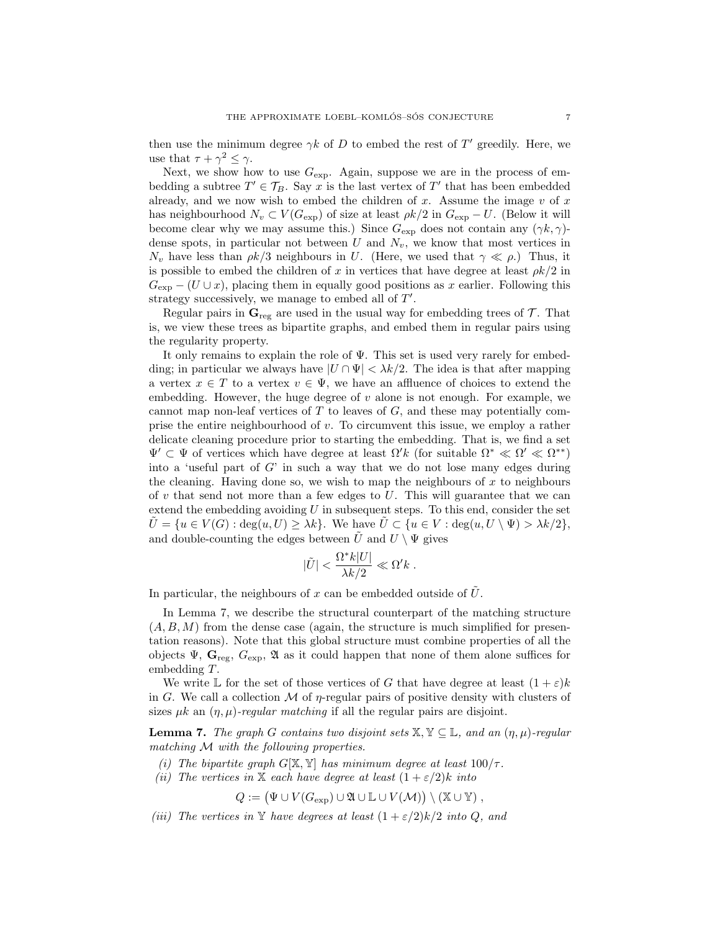then use the minimum degree  $\gamma k$  of D to embed the rest of T' greedily. Here, we use that  $\tau + \gamma^2 \leq \gamma$ .

Next, we show how to use  $G_{\text{exp}}$ . Again, suppose we are in the process of embedding a subtree  $T' \in \mathcal{T}_B$ . Say x is the last vertex of T' that has been embedded already, and we now wish to embed the children of x. Assume the image  $v$  of  $x$ has neighbourhood  $N_v \subset V(G_{\exp})$  of size at least  $\rho k/2$  in  $G_{\exp} - U$ . (Below it will become clear why we may assume this.) Since  $G_{\text{exp}}$  does not contain any  $(\gamma k, \gamma)$ dense spots, in particular not between  $U$  and  $N_v$ , we know that most vertices in  $N_v$  have less than  $\rho k/3$  neighbours in U. (Here, we used that  $\gamma \ll \rho$ .) Thus, it is possible to embed the children of x in vertices that have degree at least  $\rho k/2$  in  $G_{\text{exp}}$  − (U ∪ x), placing them in equally good positions as x earlier. Following this strategy successively, we manage to embed all of  $T'$ .

Regular pairs in  $\mathbf{G}_{\text{reg}}$  are used in the usual way for embedding trees of  $\mathcal{T}$ . That is, we view these trees as bipartite graphs, and embed them in regular pairs using the regularity property.

It only remains to explain the role of  $\Psi$ . This set is used very rarely for embedding; in particular we always have  $|U \cap \Psi| < \lambda k/2$ . The idea is that after mapping a vertex  $x \in T$  to a vertex  $v \in \Psi$ , we have an affluence of choices to extend the embedding. However, the huge degree of  $v$  alone is not enough. For example, we cannot map non-leaf vertices of  $T$  to leaves of  $G$ , and these may potentially comprise the entire neighbourhood of  $v$ . To circumvent this issue, we employ a rather delicate cleaning procedure prior to starting the embedding. That is, we find a set  $\Psi' \subset \Psi$  of vertices which have degree at least  $\Omega' k$  (for suitable  $\Omega^* \ll \Omega' \ll \Omega^{**}$ ) into a 'useful part of  $G$ ' in such a way that we do not lose many edges during the cleaning. Having done so, we wish to map the neighbours of  $x$  to neighbours of  $v$  that send not more than a few edges to  $U$ . This will guarantee that we can extend the embedding avoiding  $U$  in subsequent steps. To this end, consider the set  $\hat{U} = \{u \in V(G) : \deg(u, U) \geq \lambda k\}.$  We have  $\hat{U} \subset \{u \in V : \deg(u, U \setminus \Psi) > \lambda k/2\},$ and double-counting the edges between  $\tilde{U}$  and  $U \setminus \Psi$  gives

$$
|\tilde{U}| < \frac{\Omega^* k |U|}{\lambda k/2} \ll \Omega' k \; .
$$

In particular, the neighbours of x can be embedded outside of  $\hat{U}$ .

In Lemma 7, we describe the structural counterpart of the matching structure  $(A, B, M)$  from the dense case (again, the structure is much simplified for presentation reasons). Note that this global structure must combine properties of all the objects  $\Psi$ ,  $\mathbf{G}_{reg}$ ,  $G_{exp}$ ,  $\mathfrak{A}$  as it could happen that none of them alone suffices for embedding T.

We write L for the set of those vertices of G that have degree at least  $(1+\varepsilon)k$ in G. We call a collection M of  $\eta$ -regular pairs of positive density with clusters of sizes  $\mu k$  an  $(\eta, \mu)$ -regular matching if all the regular pairs are disjoint.

**Lemma 7.** The graph G contains two disjoint sets  $X, Y \subseteq \mathbb{L}$ , and an  $(\eta, \mu)$ -regular matching M with the following properties.

- (i) The bipartite graph  $G[X, Y]$  has minimum degree at least  $100/\tau$ .
- (ii) The vertices in X each have degree at least  $(1 + \varepsilon/2)k$  into

$$
Q := (\Psi \cup V(G_{\exp}) \cup \mathfrak{A} \cup \mathbb{L} \cup V(\mathcal{M})) \setminus (\mathbb{X} \cup \mathbb{Y}),
$$

(iii) The vertices in Y have degrees at least  $(1 + \varepsilon/2)k/2$  into Q, and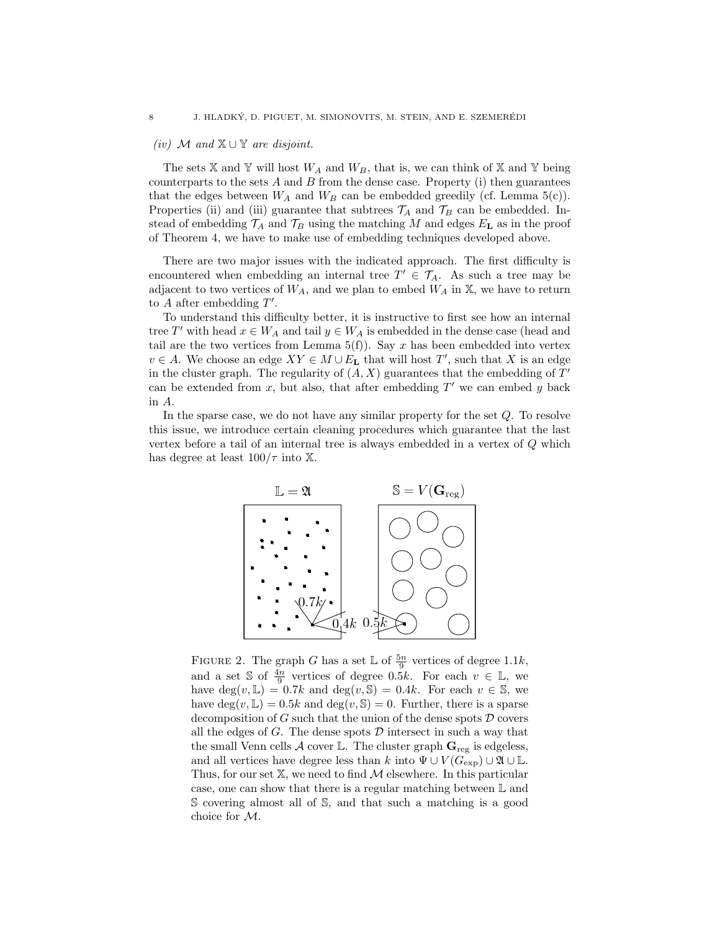# (iv) M and  $X \cup Y$  are disjoint.

The sets  $X$  and  $Y$  will host  $W_A$  and  $W_B$ , that is, we can think of  $X$  and  $Y$  being counterparts to the sets  $A$  and  $B$  from the dense case. Property (i) then guarantees that the edges between  $W_A$  and  $W_B$  can be embedded greedily (cf. Lemma 5(c)). Properties (ii) and (iii) guarantee that subtrees  $\mathcal{T}_A$  and  $\mathcal{T}_B$  can be embedded. Instead of embedding  $\mathcal{T}_A$  and  $\mathcal{T}_B$  using the matching M and edges  $E_L$  as in the proof of Theorem 4, we have to make use of embedding techniques developed above.

There are two major issues with the indicated approach. The first difficulty is encountered when embedding an internal tree  $T' \in \mathcal{T}_A$ . As such a tree may be adjacent to two vertices of  $W_A$ , and we plan to embed  $W_A$  in  $X$ , we have to return to  $A$  after embedding  $T'$ .

To understand this difficulty better, it is instructive to first see how an internal tree T' with head  $x \in W_A$  and tail  $y \in W_A$  is embedded in the dense case (head and tail are the two vertices from Lemma  $5(f)$ ). Say x has been embedded into vertex  $v \in A$ . We choose an edge  $XY \in M \cup E_{\mathbf{L}}$  that will host  $T'$ , such that X is an edge in the cluster graph. The regularity of  $(A, X)$  guarantees that the embedding of  $T'$ can be extended from  $x$ , but also, that after embedding  $T'$  we can embed  $y$  back in A.

In the sparse case, we do not have any similar property for the set Q. To resolve this issue, we introduce certain cleaning procedures which guarantee that the last vertex before a tail of an internal tree is always embedded in a vertex of Q which has degree at least  $100/\tau$  into X.



FIGURE 2. The graph G has a set  $\mathbb L$  of  $\frac{5n}{9}$  vertices of degree 1.1k, and a set S of  $\frac{4n}{9}$  vertices of degree 0.5k. For each  $v \in \mathbb{L}$ , we have  $\deg(v, \mathbb{L}) = 0.7k$  and  $\deg(v, \mathbb{S}) = 0.4k$ . For each  $v \in \mathbb{S}$ , we have  $\deg(v, \mathbb{L}) = 0.5k$  and  $\deg(v, \mathbb{S}) = 0$ . Further, there is a sparse decomposition of G such that the union of the dense spots  $\mathcal D$  covers all the edges of  $G$ . The dense spots  $D$  intersect in such a way that the small Venn cells A cover L. The cluster graph  $\mathbf{G}_{reg}$  is edgeless, and all vertices have degree less than k into  $\Psi \cup V(G_{\exp}) \cup \mathfrak{A} \cup \mathbb{L}$ . Thus, for our set  $X$ , we need to find  $M$  elsewhere. In this particular case, one can show that there is a regular matching between L and S covering almost all of S, and that such a matching is a good choice for M.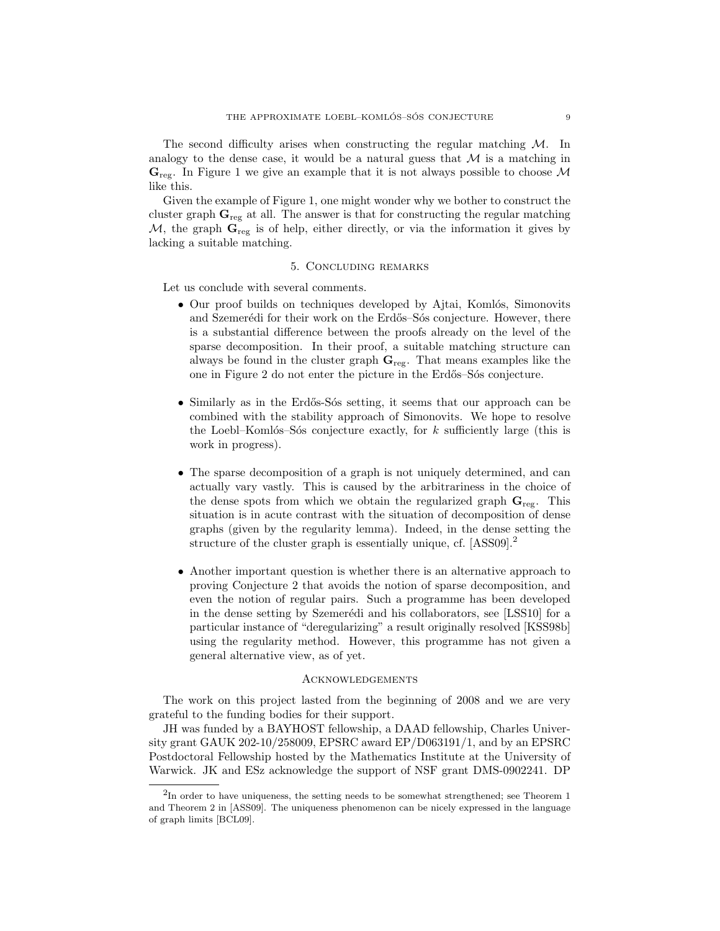The second difficulty arises when constructing the regular matching  $\mathcal{M}$ . In analogy to the dense case, it would be a natural guess that  $\mathcal M$  is a matching in  $\mathbf{G}_{\text{rec}}$ . In Figure 1 we give an example that it is not always possible to choose M like this.

Given the example of Figure 1, one might wonder why we bother to construct the cluster graph  $\mathbf{G}_{\text{reg}}$  at all. The answer is that for constructing the regular matching M, the graph  $\mathbf{G}_{\text{reg}}$  is of help, either directly, or via the information it gives by lacking a suitable matching.

### 5. Concluding remarks

Let us conclude with several comments.

- $\bullet$  Our proof builds on techniques developed by Ajtai, Komlós, Simonovits and Szemerédi for their work on the Erdős–Sós conjecture. However, there is a substantial difference between the proofs already on the level of the sparse decomposition. In their proof, a suitable matching structure can always be found in the cluster graph  $\mathbf{G}_{\text{reg}}$ . That means examples like the one in Figure 2 do not enter the picture in the Erdős–Sós conjecture.
- Similarly as in the Erdős-Sós setting, it seems that our approach can be combined with the stability approach of Simonovits. We hope to resolve the Loebl–Komlós–Sós conjecture exactly, for k sufficiently large (this is work in progress).
- The sparse decomposition of a graph is not uniquely determined, and can actually vary vastly. This is caused by the arbitrariness in the choice of the dense spots from which we obtain the regularized graph  $\mathbf{G}_{\text{reg}}$ . This situation is in acute contrast with the situation of decomposition of dense graphs (given by the regularity lemma). Indeed, in the dense setting the structure of the cluster graph is essentially unique, cf. [ASS09].<sup>2</sup>
- Another important question is whether there is an alternative approach to proving Conjecture 2 that avoids the notion of sparse decomposition, and even the notion of regular pairs. Such a programme has been developed in the dense setting by Szemerédi and his collaborators, see [LSS10] for a particular instance of "deregularizing" a result originally resolved [KSS98b] using the regularity method. However, this programme has not given a general alternative view, as of yet.

# **ACKNOWLEDGEMENTS**

The work on this project lasted from the beginning of 2008 and we are very grateful to the funding bodies for their support.

JH was funded by a BAYHOST fellowship, a DAAD fellowship, Charles University grant GAUK 202-10/258009, EPSRC award EP/D063191/1, and by an EPSRC Postdoctoral Fellowship hosted by the Mathematics Institute at the University of Warwick. JK and ESz acknowledge the support of NSF grant DMS-0902241. DP

 ${}^{2}$ In order to have uniqueness, the setting needs to be somewhat strengthened; see Theorem 1 and Theorem 2 in [ASS09]. The uniqueness phenomenon can be nicely expressed in the language of graph limits [BCL09].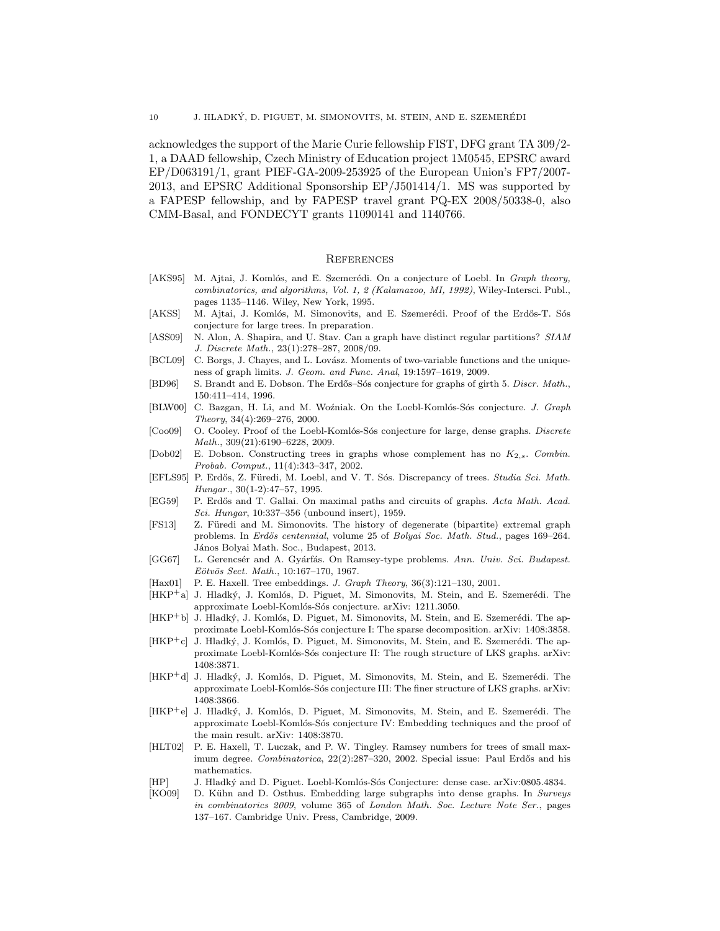acknowledges the support of the Marie Curie fellowship FIST, DFG grant TA 309/2- 1, a DAAD fellowship, Czech Ministry of Education project 1M0545, EPSRC award EP/D063191/1, grant PIEF-GA-2009-253925 of the European Union's FP7/2007- 2013, and EPSRC Additional Sponsorship EP/J501414/1. MS was supported by a FAPESP fellowship, and by FAPESP travel grant PQ-EX 2008/50338-0, also CMM-Basal, and FONDECYT grants 11090141 and 1140766.

#### **REFERENCES**

- [AKS95] M. Ajtai, J. Komlós, and E. Szemerédi. On a conjecture of Loebl. In Graph theory, combinatorics, and algorithms, Vol. 1, 2 (Kalamazoo, MI, 1992), Wiley-Intersci. Publ., pages 1135–1146. Wiley, New York, 1995.
- [AKSS] M. Ajtai, J. Komlós, M. Simonovits, and E. Szemerédi. Proof of the Erdős-T. Sós conjecture for large trees. In preparation.
- [ASS09] N. Alon, A. Shapira, and U. Stav. Can a graph have distinct regular partitions? SIAM J. Discrete Math., 23(1):278–287, 2008/09.
- [BCL09] C. Borgs, J. Chayes, and L. Lovász. Moments of two-variable functions and the uniqueness of graph limits. J. Geom. and Func. Anal, 19:1597–1619, 2009.
- [BD96] S. Brandt and E. Dobson. The Erdős–Sós conjecture for graphs of girth 5. Discr. Math., 150:411–414, 1996.
- [BLW00] C. Bazgan, H. Li, and M. Woźniak. On the Loebl-Komlós-Sós conjecture. J. Graph Theory, 34(4):269–276, 2000.
- [Coo09] O. Cooley. Proof of the Loebl-Komlós-Sós conjecture for large, dense graphs. Discrete Math., 309(21):6190–6228, 2009.
- [Dob02] E. Dobson. Constructing trees in graphs whose complement has no  $K_{2,s}$ . Combin. Probab. Comput., 11(4):343–347, 2002.
- [EFLS95] P. Erdős, Z. Füredi, M. Loebl, and V. T. Sós. Discrepancy of trees. Studia Sci. Math. Hungar., 30(1-2):47–57, 1995.
- [EG59] P. Erdős and T. Gallai. On maximal paths and circuits of graphs. Acta Math. Acad. Sci. Hungar, 10:337–356 (unbound insert), 1959.
- [FS13] Z. Füredi and M. Simonovits. The history of degenerate (bipartite) extremal graph problems. In Erdös centennial, volume 25 of Bolyai Soc. Math. Stud., pages 169-264. János Bolyai Math. Soc., Budapest, 2013.
- [GG67] L. Gerencsér and A. Gyárfás. On Ramsey-type problems. Ann. Univ. Sci. Budapest. Eötvös Sect. Math., 10:167-170, 1967.
- [Hax01] P. E. Haxell. Tree embeddings. J. Graph Theory, 36(3):121-130, 2001.
- [HKP<sup>+</sup>a] J. Hladký, J. Komlós, D. Piguet, M. Simonovits, M. Stein, and E. Szemerédi. The approximate Loebl-Komlós-Sós conjecture. arXiv: 1211.3050.
- [HKP<sup>+</sup>b] J. Hladký, J. Komlós, D. Piguet, M. Simonovits, M. Stein, and E. Szemerédi. The approximate Loebl-Komlós-Sós conjecture I: The sparse decomposition. arXiv: 1408:3858.
- $[HKP^+c]$  J. Hladký, J. Komlós, D. Piguet, M. Simonovits, M. Stein, and E. Szemerédi. The approximate Loebl-Komlós-Sós conjecture II: The rough structure of LKS graphs. arXiv: 1408:3871.
- [HKP<sup>+</sup>d] J. Hladký, J. Komlós, D. Piguet, M. Simonovits, M. Stein, and E. Szemerédi. The approximate Loebl-Komlós-Sós conjecture III: The finer structure of LKS graphs. arXiv: 1408:3866.
- [HKP<sup>+</sup>e] J. Hladký, J. Komlós, D. Piguet, M. Simonovits, M. Stein, and E. Szemerédi. The approximate Loebl-Komlós-Sós conjecture IV: Embedding techniques and the proof of the main result. arXiv: 1408:3870.
- [HLT02] P. E. Haxell, T. Luczak, and P. W. Tingley. Ramsey numbers for trees of small maximum degree. Combinatorica, 22(2):287–320, 2002. Special issue: Paul Erdős and his mathematics.
- [HP] J. Hladký and D. Piguet. Loebl-Komlós-Sós Conjecture: dense case. arXiv:0805.4834.
- [KO09] D. Kühn and D. Osthus. Embedding large subgraphs into dense graphs. In Surveys in combinatorics 2009, volume 365 of London Math. Soc. Lecture Note Ser., pages 137–167. Cambridge Univ. Press, Cambridge, 2009.